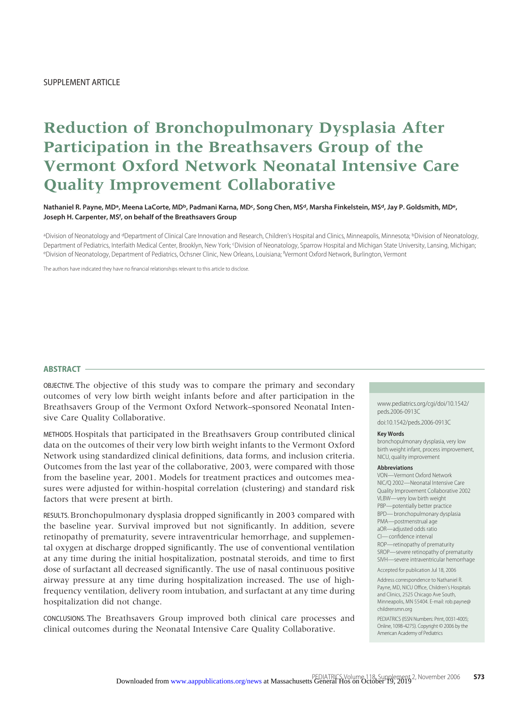# **Reduction of Bronchopulmonary Dysplasia After Participation in the Breathsavers Group of the Vermont Oxford Network Neonatal Intensive Care Quality Improvement Collaborative**

Nathaniel R. Payne, MDª, Meena LaCorte, MDʰ, Padmani Karna, MD**ˤ, Song Chen, MSª, Marsha Finkelstein, MS**ª, Jay P. Goldsmith, MD<sup>e</sup>, **Joseph H. Carpenter, MSf , on behalf of the Breathsavers Group**

aDivision of Neonatology and <sup>d</sup>Department of Clinical Care Innovation and Research, Children's Hospital and Clinics, Minneapolis, Minnesota; <sup>b</sup>Division of Neonatology, Department of Pediatrics, Interfaith Medical Center, Brooklyn, New York; <sup>c</sup>Division of Neonatology, Sparrow Hospital and Michigan State University, Lansing, Michigan; e Division of Neonatology, Department of Pediatrics, Ochsner Clinic, New Orleans, Louisiana; <sup>f</sup> Vermont Oxford Network, Burlington, Vermont

The authors have indicated they have no financial relationships relevant to this article to disclose.

#### **ABSTRACT**

OBJECTIVE. The objective of this study was to compare the primary and secondary outcomes of very low birth weight infants before and after participation in the Breathsavers Group of the Vermont Oxford Network–sponsored Neonatal Intensive Care Quality Collaborative.

METHODS. Hospitals that participated in the Breathsavers Group contributed clinical data on the outcomes of their very low birth weight infants to the Vermont Oxford Network using standardized clinical definitions, data forms, and inclusion criteria. Outcomes from the last year of the collaborative, 2003, were compared with those from the baseline year, 2001. Models for treatment practices and outcomes measures were adjusted for within-hospital correlation (clustering) and standard risk factors that were present at birth.

RESULTS. Bronchopulmonary dysplasia dropped significantly in 2003 compared with the baseline year. Survival improved but not significantly. In addition, severe retinopathy of prematurity, severe intraventricular hemorrhage, and supplemental oxygen at discharge dropped significantly. The use of conventional ventilation at any time during the initial hospitalization, postnatal steroids, and time to first dose of surfactant all decreased significantly. The use of nasal continuous positive airway pressure at any time during hospitalization increased. The use of highfrequency ventilation, delivery room intubation, and surfactant at any time during hospitalization did not change.

CONCLUSIONS. The Breathsavers Group improved both clinical care processes and clinical outcomes during the Neonatal Intensive Care Quality Collaborative.

www.pediatrics.org/cgi/doi/10.1542/ peds.2006-0913C

doi:10.1542/peds.2006-0913C

#### **Key Words**

bronchopulmonary dysplasia, very low birth weight infant, process improvement, NICU, quality improvement

#### **Abbreviations**

VON—Vermont Oxford Network NIC/Q 2002—Neonatal Intensive Care Quality Improvement Collaborative 2002 VLBW—very low birth weight PBP—potentially better practice BPD—bronchopulmonary dysplasia PMA—postmenstrual age aOR—adjusted odds ratio CI— confidence interval ROP—retinopathy of prematurity SROP—severe retinopathy of prematurity SIVH—severe intraventricular hemorrhage

Accepted for publication Jul 18, 2006

Address correspondence to Nathaniel R. Payne, MD, NICU Office, Children's Hospitals and Clinics, 2525 Chicago Ave South, Minneapolis, MN 55404. E-mail: rob.payne@ childrensmn.org

PEDIATRICS (ISSN Numbers: Print, 0031-4005; Online, 1098-4275). Copyright © 2006 by the American Academy of Pediatrics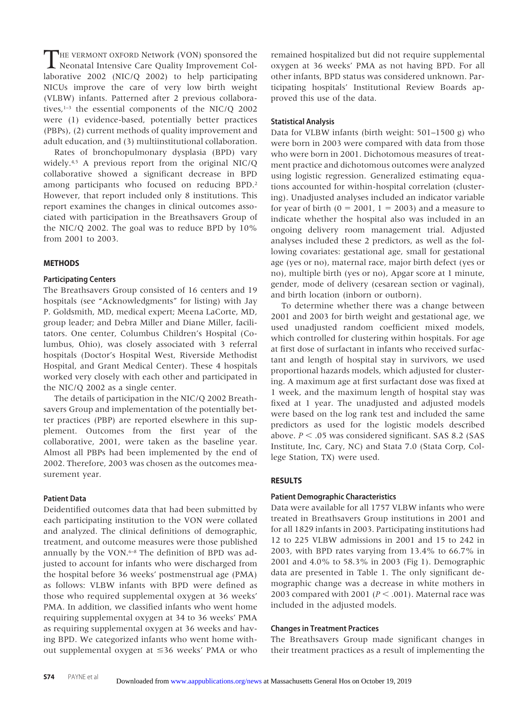THE VERMONT OXFORD Network (VON) sponsored the Neonatal Intensive Care Quality Improvement Collaborative 2002 (NIC/Q 2002) to help participating NICUs improve the care of very low birth weight (VLBW) infants. Patterned after 2 previous collaboratives, $1-3$  the essential components of the NIC/Q 2002 were (1) evidence-based, potentially better practices (PBPs), (2) current methods of quality improvement and adult education, and (3) multiinstitutional collaboration.

Rates of bronchopulmonary dysplasia (BPD) vary widely.4,5 A previous report from the original NIC/Q collaborative showed a significant decrease in BPD among participants who focused on reducing BPD.2 However, that report included only 8 institutions. This report examines the changes in clinical outcomes associated with participation in the Breathsavers Group of the NIC/Q 2002. The goal was to reduce BPD by 10% from 2001 to 2003.

#### **METHODS**

#### **Participating Centers**

The Breathsavers Group consisted of 16 centers and 19 hospitals (see "Acknowledgments" for listing) with Jay P. Goldsmith, MD, medical expert; Meena LaCorte, MD, group leader; and Debra Miller and Diane Miller, facilitators. One center, Columbus Children's Hospital (Columbus, Ohio), was closely associated with 3 referral hospitals (Doctor's Hospital West, Riverside Methodist Hospital, and Grant Medical Center). These 4 hospitals worked very closely with each other and participated in the NIC/Q 2002 as a single center.

The details of participation in the NIC/Q 2002 Breathsavers Group and implementation of the potentially better practices (PBP) are reported elsewhere in this supplement. Outcomes from the first year of the collaborative, 2001, were taken as the baseline year. Almost all PBPs had been implemented by the end of 2002. Therefore, 2003 was chosen as the outcomes measurement year.

#### **Patient Data**

Deidentified outcomes data that had been submitted by each participating institution to the VON were collated and analyzed. The clinical definitions of demographic, treatment, and outcome measures were those published annually by the VON. $6-8$  The definition of BPD was adjusted to account for infants who were discharged from the hospital before 36 weeks' postmenstrual age (PMA) as follows: VLBW infants with BPD were defined as those who required supplemental oxygen at 36 weeks' PMA. In addition, we classified infants who went home requiring supplemental oxygen at 34 to 36 weeks' PMA as requiring supplemental oxygen at 36 weeks and having BPD. We categorized infants who went home without supplemental oxygen at  $\leq$ 36 weeks' PMA or who

remained hospitalized but did not require supplemental oxygen at 36 weeks' PMA as not having BPD. For all other infants, BPD status was considered unknown. Participating hospitals' Institutional Review Boards approved this use of the data.

#### **Statistical Analysis**

Data for VLBW infants (birth weight: 501–1500 g) who were born in 2003 were compared with data from those who were born in 2001. Dichotomous measures of treatment practice and dichotomous outcomes were analyzed using logistic regression. Generalized estimating equations accounted for within-hospital correlation (clustering). Unadjusted analyses included an indicator variable for year of birth ( $0 = 2001$ ,  $1 = 2003$ ) and a measure to indicate whether the hospital also was included in an ongoing delivery room management trial. Adjusted analyses included these 2 predictors, as well as the following covariates: gestational age, small for gestational age (yes or no), maternal race, major birth defect (yes or no), multiple birth (yes or no), Apgar score at 1 minute, gender, mode of delivery (cesarean section or vaginal), and birth location (inborn or outborn).

To determine whether there was a change between 2001 and 2003 for birth weight and gestational age, we used unadjusted random coefficient mixed models, which controlled for clustering within hospitals. For age at first dose of surfactant in infants who received surfactant and length of hospital stay in survivors, we used proportional hazards models, which adjusted for clustering. A maximum age at first surfactant dose was fixed at 1 week, and the maximum length of hospital stay was fixed at 1 year. The unadjusted and adjusted models were based on the log rank test and included the same predictors as used for the logistic models described above.  $P <$  .05 was considered significant. SAS 8.2 (SAS Institute, Inc, Cary, NC) and Stata 7.0 (Stata Corp, College Station, TX) were used.

### **RESULTS**

#### **Patient Demographic Characteristics**

Data were available for all 1757 VLBW infants who were treated in Breathsavers Group institutions in 2001 and for all 1829 infants in 2003. Participating institutions had 12 to 225 VLBW admissions in 2001 and 15 to 242 in 2003, with BPD rates varying from 13.4% to 66.7% in 2001 and 4.0% to 58.3% in 2003 (Fig 1). Demographic data are presented in Table 1. The only significant demographic change was a decrease in white mothers in 2003 compared with 2001 ( $P < .001$ ). Maternal race was included in the adjusted models.

#### **Changes in Treatment Practices**

The Breathsavers Group made significant changes in their treatment practices as a result of implementing the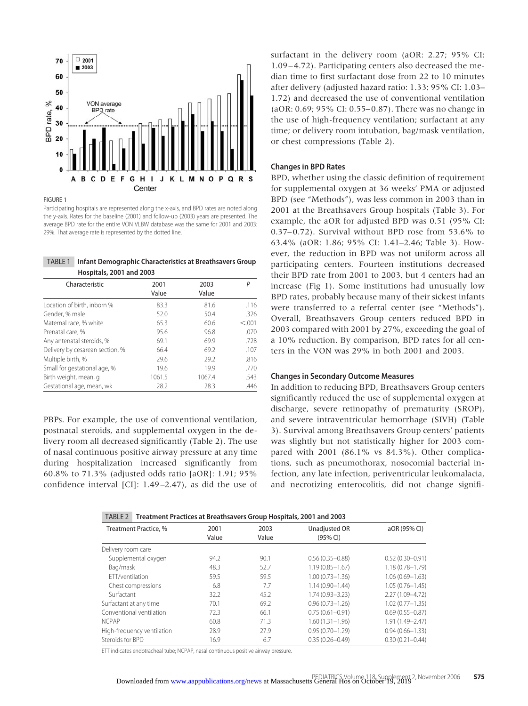

#### FIGURE 1

Participating hospitals are represented along the x-axis, and BPD rates are noted along the y-axis. Rates for the baseline (2001) and follow-up (2003) years are presented. The average BPD rate for the entire VON VLBW database was the same for 2001 and 2003: 29%. That average rate is represented by the dotted line.

TABLE 1 **Infant Demographic Characteristics at Breathsavers Group Hospitals, 2001 and 2003**

| Characteristic                  | 2001   | 2003   | Р       |
|---------------------------------|--------|--------|---------|
|                                 | Value  | Value  |         |
| Location of birth, inborn %     | 83.3   | 81.6   | .116    |
| Gender, % male                  | 52.0   | 50.4   | .326    |
| Maternal race, % white          | 65.3   | 60.6   | < 0.001 |
| Prenatal care, %                | 95.6   | 96.8   | .070    |
| Any antenatal steroids, %       | 69.1   | 69.9   | .728    |
| Delivery by cesarean section, % | 66.4   | 69.2   | .107    |
| Multiple birth, %               | 29.6   | 29.2   | .816    |
| Small for gestational age, %    | 19.6   | 19.9   | .770    |
| Birth weight, mean, g           | 1061.5 | 1067.4 | .543    |
| Gestational age, mean, wk       | 28.2   | 28.3   | .446    |

PBPs. For example, the use of conventional ventilation, postnatal steroids, and supplemental oxygen in the delivery room all decreased significantly (Table 2). The use of nasal continuous positive airway pressure at any time during hospitalization increased significantly from 60.8% to 71.3% (adjusted odds ratio [aOR]: 1.91; 95% confidence interval [CI]: 1.49–2.47), as did the use of surfactant in the delivery room (aOR: 2.27; 95% CI: 1.09–4.72). Participating centers also decreased the median time to first surfactant dose from 22 to 10 minutes after delivery (adjusted hazard ratio: 1.33; 95% CI: 1.03– 1.72) and decreased the use of conventional ventilation (aOR: 0.69; 95% CI: 0.55–0.87). There was no change in the use of high-frequency ventilation; surfactant at any time; or delivery room intubation, bag/mask ventilation, or chest compressions (Table 2).

#### **Changes in BPD Rates**

BPD, whether using the classic definition of requirement for supplemental oxygen at 36 weeks' PMA or adjusted BPD (see "Methods"), was less common in 2003 than in 2001 at the Breathsavers Group hospitals (Table 3). For example, the aOR for adjusted BPD was 0.51 (95% CI: 0.37–0.72). Survival without BPD rose from 53.6% to 63.4% (aOR: 1.86; 95% CI: 1.41–2.46; Table 3). However, the reduction in BPD was not uniform across all participating centers. Fourteen institutions decreased their BPD rate from 2001 to 2003, but 4 centers had an increase (Fig 1). Some institutions had unusually low BPD rates, probably because many of their sickest infants were transferred to a referral center (see "Methods"). Overall, Breathsavers Group centers reduced BPD in 2003 compared with 2001 by 27%, exceeding the goal of a 10% reduction. By comparison, BPD rates for all centers in the VON was 29% in both 2001 and 2003.

#### **Changes in Secondary Outcome Measures**

In addition to reducing BPD, Breathsavers Group centers significantly reduced the use of supplemental oxygen at discharge, severe retinopathy of prematurity (SROP), and severe intraventricular hemorrhage (SIVH) (Table 3). Survival among Breathsavers Group centers' patients was slightly but not statistically higher for 2003 compared with 2001 (86.1% vs 84.3%). Other complications, such as pneumothorax, nosocomial bacterial infection, any late infection, periventricular leukomalacia, and necrotizing enterocolitis, did not change signifi-

|  | TABLE 2 Treatment Practices at Breathsavers Group Hospitals, 2001 and 2003 |
|--|----------------------------------------------------------------------------|
|--|----------------------------------------------------------------------------|

| 2001<br>Value | 2003  | Unadjusted OR<br>(95% CI) | aOR (95% CI)        |
|---------------|-------|---------------------------|---------------------|
|               | Value |                           |                     |
|               |       |                           |                     |
| 94.2          | 90.1  | $0.56(0.35 - 0.88)$       | $0.52(0.30 - 0.91)$ |
| 48.3          | 52.7  | $1.19(0.85 - 1.67)$       | $1.18(0.78 - 1.79)$ |
| 59.5          | 59.5  | $1.00(0.73 - 1.36)$       | $1.06(0.69 - 1.63)$ |
| 6.8           | 7.7   | $1.14(0.90 - 1.44)$       | $1.05(0.76 - 1.45)$ |
| 32.2          | 45.2  | $1.74(0.93 - 3.23)$       | $2.27(1.09 - 4.72)$ |
| 70.1          | 69.2  | $0.96(0.73 - 1.26)$       | $1.02(0.77 - 1.35)$ |
| 72.3          | 66.1  | $0.75(0.61 - 0.91)$       | $0.69(0.55 - 0.87)$ |
| 60.8          | 71.3  | $1.60(1.31 - 1.96)$       | $1.91(1.49 - 2.47)$ |
| 28.9          | 27.9  | $0.95(0.70 - 1.29)$       | $0.94(0.66 - 1.33)$ |
| 16.9          | 6.7   | $0.35(0.26 - 0.49)$       | $0.30(0.21 - 0.44)$ |
|               |       |                           |                     |

ETT indicates endotracheal tube; NCPAP, nasal continuous positive airway pressure.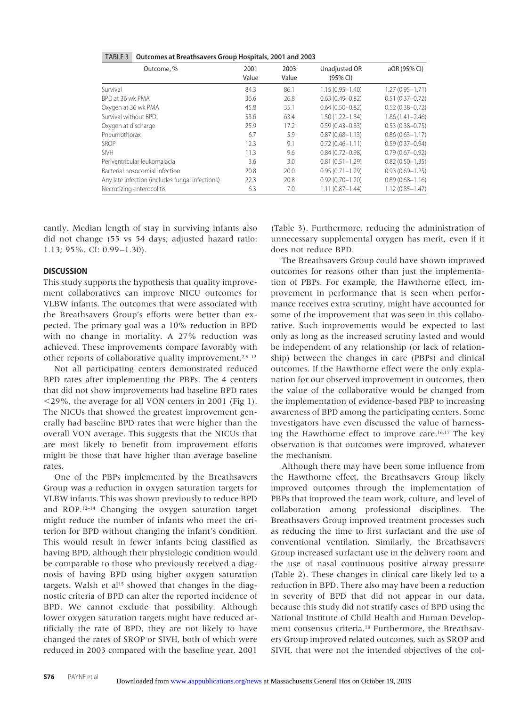|  | TABLE 3 Outcomes at Breathsavers Group Hospitals, 2001 and 2003 |
|--|-----------------------------------------------------------------|
|--|-----------------------------------------------------------------|

| Outcome, %                                      | 2001<br>Value | 2003<br>Value | Unadjusted OR<br>(95% CI) | aOR (95% CI)        |
|-------------------------------------------------|---------------|---------------|---------------------------|---------------------|
| Survival                                        | 84.3          | 86.1          | $1.15(0.95 - 1.40)$       | $1.27(0.95 - 1.71)$ |
| BPD at 36 wk PMA                                | 36.6          | 26.8          | $0.63(0.49 - 0.82)$       | $0.51(0.37 - 0.72)$ |
| Oxygen at 36 wk PMA                             | 45.8          | 35.1          | $0.64(0.50 - 0.82)$       | $0.52(0.38 - 0.72)$ |
| Survival without BPD                            | 53.6          | 63.4          | $1.50(1.22 - 1.84)$       | $1.86(1.41 - 2.46)$ |
| Oxygen at discharge                             | 25.9          | 17.2          | $0.59(0.43 - 0.83)$       | $0.53(0.38 - 0.75)$ |
| Pneumothorax                                    | 6.7           | 5.9           | $0.87(0.68 - 1.13)$       | $0.86(0.63 - 1.17)$ |
| <b>SROP</b>                                     | 12.3          | 9.1           | $0.72(0.46 - 1.11)$       | $0.59(0.37 - 0.94)$ |
| <b>SIVH</b>                                     | 11.3          | 9.6           | $0.84(0.72 - 0.98)$       | $0.79(0.67 - 0.92)$ |
| Periventricular leukomalacia                    | 3.6           | 3.0           | $0.81(0.51 - 1.29)$       | $0.82(0.50 - 1.35)$ |
| Bacterial nosocomial infection                  | 20.8          | 20.0          | $0.95(0.71 - 1.29)$       | $0.93(0.69 - 1.25)$ |
| Any late infection (includes fungal infections) | 22.3          | 20.8          | $0.92(0.70 - 1.20)$       | $0.89(0.68 - 1.16)$ |
| Necrotizing enterocolitis                       | 6.3           | 7.0           | $1.11(0.87 - 1.44)$       | $1.12(0.85 - 1.47)$ |

cantly. Median length of stay in surviving infants also did not change (55 vs 54 days; adjusted hazard ratio: 1.13; 95%, CI: 0.99–1.30).

#### **DISCUSSION**

This study supports the hypothesis that quality improvement collaboratives can improve NICU outcomes for VLBW infants. The outcomes that were associated with the Breathsavers Group's efforts were better than expected. The primary goal was a 10% reduction in BPD with no change in mortality. A 27% reduction was achieved. These improvements compare favorably with other reports of collaborative quality improvement.2,9–12

Not all participating centers demonstrated reduced BPD rates after implementing the PBPs. The 4 centers that did not show improvements had baseline BPD rates -29%, the average for all VON centers in 2001 (Fig 1). The NICUs that showed the greatest improvement generally had baseline BPD rates that were higher than the overall VON average. This suggests that the NICUs that are most likely to benefit from improvement efforts might be those that have higher than average baseline rates.

One of the PBPs implemented by the Breathsavers Group was a reduction in oxygen saturation targets for VLBW infants. This was shown previously to reduce BPD and ROP.12–14 Changing the oxygen saturation target might reduce the number of infants who meet the criterion for BPD without changing the infant's condition. This would result in fewer infants being classified as having BPD, although their physiologic condition would be comparable to those who previously received a diagnosis of having BPD using higher oxygen saturation targets. Walsh et al<sup>15</sup> showed that changes in the diagnostic criteria of BPD can alter the reported incidence of BPD. We cannot exclude that possibility. Although lower oxygen saturation targets might have reduced artificially the rate of BPD, they are not likely to have changed the rates of SROP or SIVH, both of which were reduced in 2003 compared with the baseline year, 2001

(Table 3). Furthermore, reducing the administration of unnecessary supplemental oxygen has merit, even if it does not reduce BPD.

The Breathsavers Group could have shown improved outcomes for reasons other than just the implementation of PBPs. For example, the Hawthorne effect, improvement in performance that is seen when performance receives extra scrutiny, might have accounted for some of the improvement that was seen in this collaborative. Such improvements would be expected to last only as long as the increased scrutiny lasted and would be independent of any relationship (or lack of relationship) between the changes in care (PBPs) and clinical outcomes. If the Hawthorne effect were the only explanation for our observed improvement in outcomes, then the value of the collaborative would be changed from the implementation of evidence-based PBP to increasing awareness of BPD among the participating centers. Some investigators have even discussed the value of harnessing the Hawthorne effect to improve care.16,17 The key observation is that outcomes were improved, whatever the mechanism.

Although there may have been some influence from the Hawthorne effect, the Breathsavers Group likely improved outcomes through the implementation of PBPs that improved the team work, culture, and level of collaboration among professional disciplines. The Breathsavers Group improved treatment processes such as reducing the time to first surfactant and the use of conventional ventilation. Similarly, the Breathsavers Group increased surfactant use in the delivery room and the use of nasal continuous positive airway pressure (Table 2). These changes in clinical care likely led to a reduction in BPD. There also may have been a reduction in severity of BPD that did not appear in our data, because this study did not stratify cases of BPD using the National Institute of Child Health and Human Development consensus criteria.<sup>18</sup> Furthermore, the Breathsavers Group improved related outcomes, such as SROP and SIVH, that were not the intended objectives of the col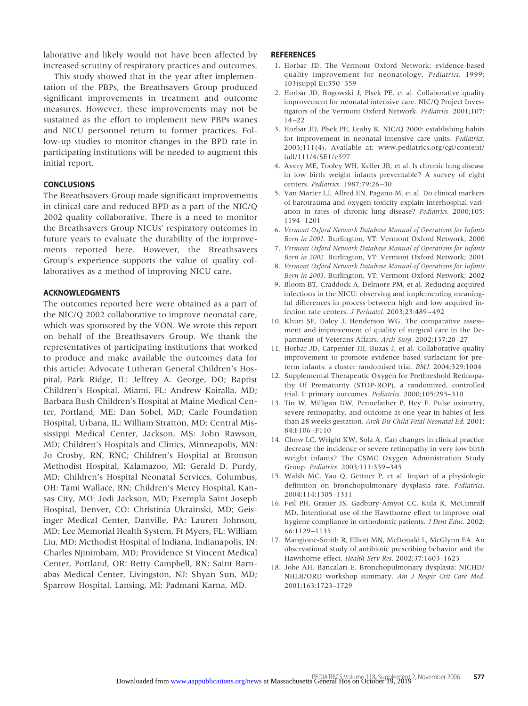laborative and likely would not have been affected by increased scrutiny of respiratory practices and outcomes.

This study showed that in the year after implementation of the PBPs, the Breathsavers Group produced significant improvements in treatment and outcome measures. However, these improvements may not be sustained as the effort to implement new PBPs wanes and NICU personnel return to former practices. Follow-up studies to monitor changes in the BPD rate in participating institutions will be needed to augment this initial report.

#### **CONCLUSIONS**

The Breathsavers Group made significant improvements in clinical care and reduced BPD as a part of the NIC/Q 2002 quality collaborative. There is a need to monitor the Breathsavers Group NICUs' respiratory outcomes in future years to evaluate the durability of the improvements reported here. However, the Breathsavers Group's experience supports the value of quality collaboratives as a method of improving NICU care.

#### **ACKNOWLEDGMENTS**

The outcomes reported here were obtained as a part of the NIC/Q 2002 collaborative to improve neonatal care, which was sponsored by the VON. We wrote this report on behalf of the Breathsavers Group. We thank the representatives of participating institutions that worked to produce and make available the outcomes data for this article: Advocate Lutheran General Children's Hospital, Park Ridge, IL: Jeffrey A. George, DO; Baptist Children's Hospital, Miami, FL: Andrew Kairalla, MD; Barbara Bush Children's Hospital at Maine Medical Center, Portland, ME: Dan Sobel, MD; Carle Foundation Hospital, Urbana, IL: William Stratton, MD; Central Mississippi Medical Center, Jackson, MS: John Rawson, MD; Children's Hospitals and Clinics, Minneapolis, MN: Jo Crosby, RN, RNC; Children's Hospital at Bronson Methodist Hospital, Kalamazoo, MI: Gerald D. Purdy, MD; Children's Hospital Neonatal Services, Columbus, OH: Tami Wallace, RN; Children's Mercy Hospital, Kansas City, MO: Jodi Jackson, MD; Exempla Saint Joseph Hospital, Denver, CO: Christinia Ukrainski, MD; Geisinger Medical Center, Danville, PA: Lauren Johnson, MD; Lee Memorial Health System, Ft Myers, FL: William Liu, MD; Methodist Hospital of Indiana, Indianapolis, IN: Charles Njinimbam, MD; Providence St Vincent Medical Center, Portland, OR: Betty Campbell, RN; Saint Barnabas Medical Center, Livingston, NJ: Shyan Sun, MD; Sparrow Hospital, Lansing, MI: Padmani Karna, MD.

#### **REFERENCES**

- 1. Horbar JD. The Vermont Oxford Network: evidence-based quality improvement for neonatology. *Pediatrics.* 1999; 103(suppl E):350–359
- 2. Horbar JD, Rogowski J, Plsek PE, et al. Collaborative quality improvement for neonatal intensive care. NIC/Q Project Investigators of the Vermont Oxford Network. *Pediatrics.* 2001;107: 14–22
- 3. Horbar JD, Plsek PE, Leahy K. NIC/Q 2000: establishing habits for improvement in neonatal intensive care units. *Pediatrics.* 2003;111(4). Available at: www.pediatrics.org/cgi/content/ full/111/4/SE1/e397
- 4. Avery ME, Tooley WH, Keller JB, et al. Is chronic lung disease in low birth weight infants preventable? A survey of eight centers. *Pediatrics.* 1987;79:26–30
- 5. Van Marter LJ, Allred EN, Pagano M, et al. Do clinical markers of barotrauma and oxygen toxicity explain interhospital variation in rates of chronic lung disease? *Pediatrics.* 2000;105: 1194–1201
- 6. *Vermont Oxford Network Database Manual of Operations for Infants Born in 2001.* Burlington, VT: Vermont Oxford Network; 2000
- 7. *Vermont Oxford Network Database Manual of Operations for Infants Born in 2002.* Burlington, VT: Vermont Oxford Network; 2001
- 8. *Vermont Oxford Network Database Manual of Operations for Infants Born in 2003.* Burlington, VT: Vermont Oxford Network; 2002
- 9. Bloom BT, Craddock A, Delmore PM, et al. Reducing acquired infections in the NICU: observing and implementing meaningful differences in process between high and low acquired infection rate centers. *J Perinatol.* 2003;23:489–492
- 10. Khuri SF, Daley J, Henderson WG. The comparative assessment and improvement of quality of surgical care in the Department of Veterans Affairs. *Arch Surg.* 2002;137:20–27
- 11. Horbar JD, Carpenter JH, Buzas J, et al. Collaborative quality improvement to promote evidence based surfactant for preterm infants: a cluster randomised trial. *BMJ.* 2004;329:1004
- 12. Supplemental Therapeutic Oxygen for Prethreshold Retinopathy Of Prematurity (STOP-ROP), a randomized, controlled trial. I: primary outcomes. *Pediatrics.* 2000;105:295–310
- 13. Tin W, Milligan DW, Pennefather P, Hey E. Pulse oximetry, severe retinopathy, and outcome at one year in babies of less than 28 weeks gestation. *Arch Dis Child Fetal Neonatal Ed.* 2001; 84:F106–F110
- 14. Chow LC, Wright KW, Sola A. Can changes in clinical practice decrease the incidence or severe retinopathy in very low birth weight infants? The CSMC Oxygen Administration Study Group. *Pediatrics.* 2003;111:339–345
- 15. Walsh MC, Yao Q, Gettner P, et al. Impact of a physiologic definition on bronchopulmonary dysplasia rate. *Pediatrics.* 2004;114:1305–1311
- 16. Feil PH, Grauer JS, Gadbury-Amyot CC, Kula K, McCunniff MD. Intentional use of the Hawthorne effect to improve oral hygiene compliance in orthodontic patients. *J Dent Educ.* 2002; 66:1129–1135
- 17. Mangione-Smith R, Elliott MN, McDonald L, McGlynn EA. An observational study of antibiotic prescribing behavior and the Hawthorne effect. *Health Serv Res.* 2002;37:1603–1623
- 18. Jobe AH, Bancalari E. Bronchopulmonary dysplasia: NICHD/ NHLB/ORD workshop summary. *Am J Respir Crit Care Med.* 2001;163:1723–1729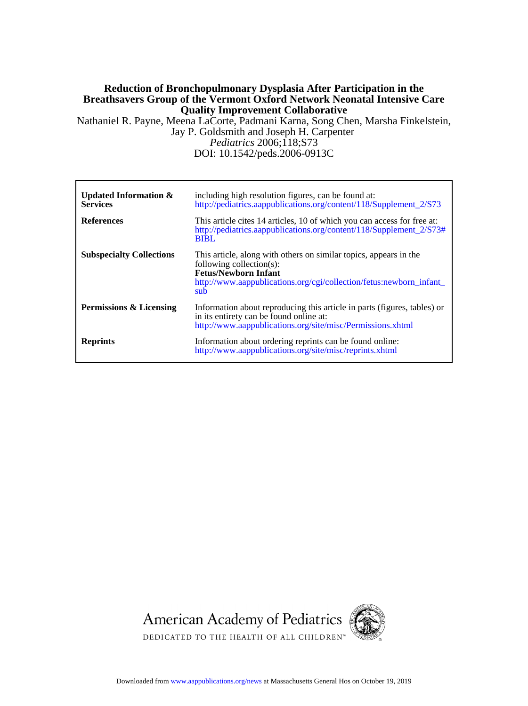# **Quality Improvement Collaborative Breathsavers Group of the Vermont Oxford Network Neonatal Intensive Care Reduction of Bronchopulmonary Dysplasia After Participation in the**

Jay P. Goldsmith and Joseph H. Carpenter Nathaniel R. Payne, Meena LaCorte, Padmani Karna, Song Chen, Marsha Finkelstein,

DOI: 10.1542/peds.2006-0913C *Pediatrics* 2006;118;S73

| Updated Information $\&$<br><b>Services</b> | including high resolution figures, can be found at:<br>http://pediatrics.aappublications.org/content/118/Supplement_2/S73                                                                                  |
|---------------------------------------------|------------------------------------------------------------------------------------------------------------------------------------------------------------------------------------------------------------|
| <b>References</b>                           | This article cites 14 articles, 10 of which you can access for free at:<br>http://pediatrics.aappublications.org/content/118/Supplement_2/S73#<br><b>BIBL</b>                                              |
| <b>Subspecialty Collections</b>             | This article, along with others on similar topics, appears in the<br>following collection(s):<br><b>Fetus/Newborn Infant</b><br>http://www.aappublications.org/cgi/collection/fetus:newborn_infant_<br>sub |
| Permissions & Licensing                     | Information about reproducing this article in parts (figures, tables) or<br>in its entirety can be found online at:<br>http://www.aappublications.org/site/misc/Permissions.xhtml                          |
| <b>Reprints</b>                             | Information about ordering reprints can be found online:<br>http://www.aappublications.org/site/misc/reprints.xhtml                                                                                        |